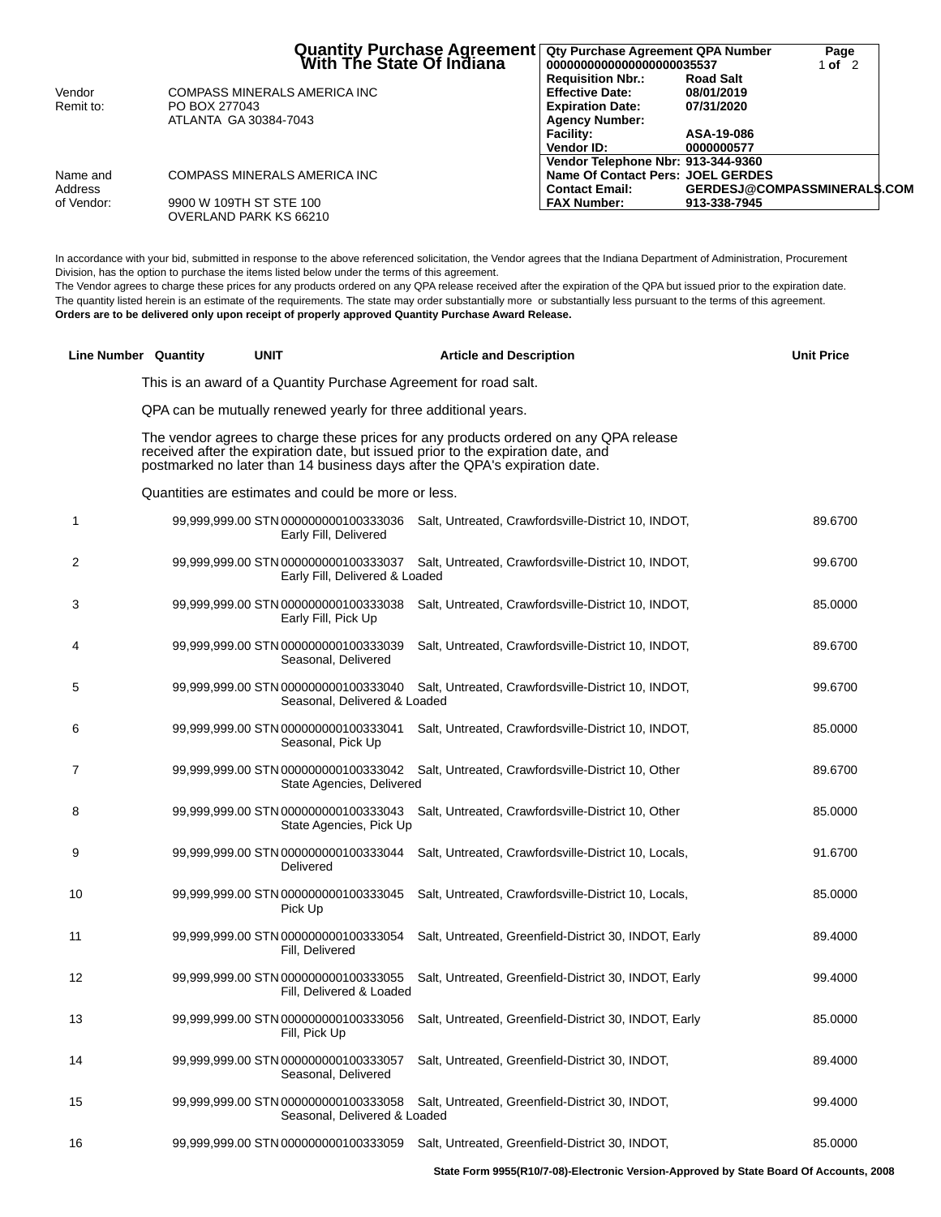|            | Quantity Purchase Agreement<br>  With The State Of Indiana | Qty Purchase Agreement QPA Number<br>00000000000000000000035537 | <b>Road Salt</b>                   | Page<br>1 of $2$ |
|------------|------------------------------------------------------------|-----------------------------------------------------------------|------------------------------------|------------------|
| Vendor     | <b>COMPASS MINERALS AMERICA INC</b>                        | <b>Requisition Nbr.:</b><br><b>Effective Date:</b>              | 08/01/2019                         |                  |
| Remit to:  | PO BOX 277043                                              | <b>Expiration Date:</b>                                         | 07/31/2020                         |                  |
|            | ATLANTA GA 30384-7043                                      | <b>Agency Number:</b>                                           |                                    |                  |
|            |                                                            | <b>Facility:</b>                                                | ASA-19-086                         |                  |
|            |                                                            | Vendor ID:                                                      | 0000000577                         |                  |
|            |                                                            | Vendor Telephone Nbr: 913-344-9360                              |                                    |                  |
| Name and   | COMPASS MINERALS AMERICA INC                               | Name Of Contact Pers: JOEL GERDES                               |                                    |                  |
| Address    |                                                            | <b>Contact Email:</b>                                           | <b>GERDESJ@COMPASSMINERALS.COM</b> |                  |
| of Vendor: | 9900 W 109TH ST STE 100<br>OVERLAND PARK KS 66210          | <b>FAX Number:</b>                                              | 913-338-7945                       |                  |

In accordance with your bid, submitted in response to the above referenced solicitation, the Vendor agrees that the Indiana Department of Administration, Procurement Division, has the option to purchase the items listed below under the terms of this agreement.

The Vendor agrees to charge these prices for any products ordered on any QPA release received after the expiration of the QPA but issued prior to the expiration date. The quantity listed herein is an estimate of the requirements. The state may order substantially more or substantially less pursuant to the terms of this agreement. **Orders are to be delivered only upon receipt of properly approved Quantity Purchase Award Release.**

|    | Line Number Quantity | <b>UNIT</b>                                                            | <b>Article and Description</b>                                                                                                                                                                                                                         | <b>Unit Price</b> |
|----|----------------------|------------------------------------------------------------------------|--------------------------------------------------------------------------------------------------------------------------------------------------------------------------------------------------------------------------------------------------------|-------------------|
|    |                      | This is an award of a Quantity Purchase Agreement for road salt.       |                                                                                                                                                                                                                                                        |                   |
|    |                      | QPA can be mutually renewed yearly for three additional years.         |                                                                                                                                                                                                                                                        |                   |
|    |                      |                                                                        | The vendor agrees to charge these prices for any products ordered on any QPA release<br>received after the expiration date, but issued prior to the expiration date, and<br>postmarked no later than 14 business days after the QPA's expiration date. |                   |
|    |                      | Quantities are estimates and could be more or less.                    |                                                                                                                                                                                                                                                        |                   |
| 1  |                      | 99,999,999.00 STN 000000000100333036<br>Early Fill, Delivered          | Salt, Untreated, Crawfordsville-District 10, INDOT,                                                                                                                                                                                                    | 89.6700           |
| 2  |                      | 99,999,999.00 STN 000000000100333037<br>Early Fill, Delivered & Loaded | Salt, Untreated, Crawfordsville-District 10, INDOT,                                                                                                                                                                                                    | 99.6700           |
| 3  |                      | 99,999,999.00 STN 000000000100333038<br>Early Fill, Pick Up            | Salt, Untreated, Crawfordsville-District 10, INDOT,                                                                                                                                                                                                    | 85.0000           |
| 4  |                      | 99,999,999.00 STN 000000000100333039<br>Seasonal, Delivered            | Salt, Untreated, Crawfordsville-District 10, INDOT,                                                                                                                                                                                                    | 89.6700           |
| 5  |                      | 99,999,999.00 STN 000000000100333040<br>Seasonal, Delivered & Loaded   | Salt, Untreated, Crawfordsville-District 10, INDOT,                                                                                                                                                                                                    | 99.6700           |
| 6  |                      | 99,999,999.00 STN 000000000100333041<br>Seasonal, Pick Up              | Salt, Untreated, Crawfordsville-District 10, INDOT,                                                                                                                                                                                                    | 85.0000           |
| 7  |                      | 99,999,999.00 STN 000000000100333042<br>State Agencies, Delivered      | Salt, Untreated, Crawfordsville-District 10, Other                                                                                                                                                                                                     | 89.6700           |
| 8  |                      | 99,999,999.00 STN 000000000100333043<br>State Agencies, Pick Up        | Salt, Untreated, Crawfordsville-District 10, Other                                                                                                                                                                                                     | 85.0000           |
| 9  |                      | 99,999,999.00 STN 000000000100333044<br>Delivered                      | Salt, Untreated, Crawfordsville-District 10, Locals,                                                                                                                                                                                                   | 91.6700           |
| 10 |                      | 99,999,999.00 STN 000000000100333045<br>Pick Up                        | Salt, Untreated, Crawfordsville-District 10, Locals,                                                                                                                                                                                                   | 85.0000           |
| 11 |                      | 99,999,999.00 STN 000000000100333054<br>Fill, Delivered                | Salt, Untreated, Greenfield-District 30, INDOT, Early                                                                                                                                                                                                  | 89.4000           |
| 12 |                      | 99,999,999.00 STN 000000000100333055<br>Fill, Delivered & Loaded       | Salt, Untreated, Greenfield-District 30, INDOT, Early                                                                                                                                                                                                  | 99.4000           |
| 13 |                      | 99,999,999.00 STN 000000000100333056<br>Fill, Pick Up                  | Salt, Untreated, Greenfield-District 30, INDOT, Early                                                                                                                                                                                                  | 85.0000           |
| 14 |                      | 99,999,999.00 STN 000000000100333057<br>Seasonal, Delivered            | Salt, Untreated, Greenfield-District 30, INDOT,                                                                                                                                                                                                        | 89.4000           |
| 15 |                      | 99,999,999.00 STN 000000000100333058<br>Seasonal, Delivered & Loaded   | Salt, Untreated, Greenfield-District 30, INDOT,                                                                                                                                                                                                        | 99.4000           |
| 16 |                      | 99,999,999.00 STN 000000000100333059                                   | Salt, Untreated, Greenfield-District 30, INDOT,                                                                                                                                                                                                        | 85.0000           |